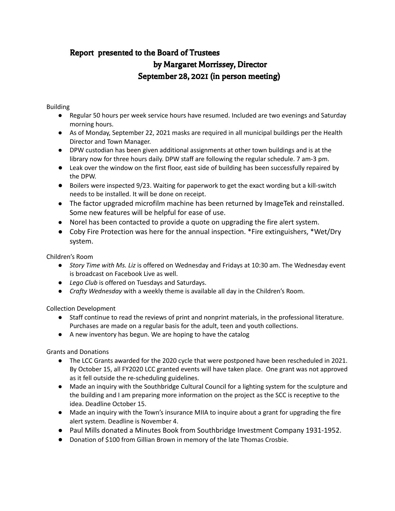# Report presented to the Board of Trustees by Margaret Morrissey, Director September 28, 2021 (in person meeting)

### Building

- Regular 50 hours per week service hours have resumed. Included are two evenings and Saturday morning hours.
- As of Monday, September 22, 2021 masks are required in all municipal buildings per the Health Director and Town Manager.
- DPW custodian has been given additional assignments at other town buildings and is at the library now for three hours daily. DPW staff are following the regular schedule. 7 am-3 pm.
- Leak over the window on the first floor, east side of building has been successfully repaired by the DPW.
- Boilers were inspected 9/23. Waiting for paperwork to get the exact wording but a kill-switch needs to be installed. It will be done on receipt.
- The factor upgraded microfilm machine has been returned by ImageTek and reinstalled. Some new features will be helpful for ease of use.
- Norel has been contacted to provide a quote on upgrading the fire alert system.
- Coby Fire Protection was here for the annual inspection. \*Fire extinguishers, \*Wet/Dry system.

Children's Room

- *Story Time with Ms. Liz* is offered on Wednesday and Fridays at 10:30 am. The Wednesday event is broadcast on Facebook Live as well.
- *Lego Club* is offered on Tuesdays and Saturdays.
- *Crafty Wednesday* with a weekly theme is available all day in the Children's Room.

Collection Development

- Staff continue to read the reviews of print and nonprint materials, in the professional literature. Purchases are made on a regular basis for the adult, teen and youth collections.
- A new inventory has begun. We are hoping to have the catalog

Grants and Donations

- The LCC Grants awarded for the 2020 cycle that were postponed have been rescheduled in 2021. By October 15, all FY2020 LCC granted events will have taken place. One grant was not approved as it fell outside the re-scheduling guidelines.
- Made an inquiry with the Southbridge Cultural Council for a lighting system for the sculpture and the building and I am preparing more information on the project as the SCC is receptive to the idea. Deadline October 15.
- Made an inquiry with the Town's insurance MIIA to inquire about a grant for upgrading the fire alert system. Deadline is November 4.
- Paul Mills donated a Minutes Book from Southbridge Investment Company 1931-1952.
- Donation of \$100 from Gillian Brown in memory of the late Thomas Crosbie.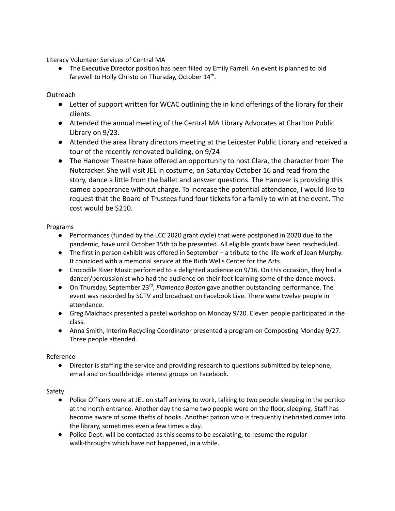Literacy Volunteer Services of Central MA

● The Executive Director position has been filled by Emily Farrell. An event is planned to bid farewell to Holly Christo on Thursday, October 14<sup>th</sup>.

# Outreach

- Letter of support written for WCAC outlining the in kind offerings of the library for their clients.
- Attended the annual meeting of the Central MA Library Advocates at Charlton Public Library on 9/23.
- Attended the area library directors meeting at the Leicester Public Library and received a tour of the recently renovated building, on 9/24
- The Hanover Theatre have offered an opportunity to host Clara, the character from The Nutcracker. She will visit JEL in costume, on Saturday October 16 and read from the story, dance a little from the ballet and answer questions. The Hanover is providing this cameo appearance without charge. To increase the potential attendance, I would like to request that the Board of Trustees fund four tickets for a family to win at the event. The cost would be \$210.

#### Programs

- Performances (funded by the LCC 2020 grant cycle) that were postponed in 2020 due to the pandemic, have until October 15th to be presented. All eligible grants have been rescheduled.
- The first in person exhibit was offered in September a tribute to the life work of Jean Murphy. It coincided with a memorial service at the Ruth Wells Center for the Arts.
- Crocodile River Music performed to a delighted audience on 9/16. On this occasion, they had a dancer/percussionist who had the audience on their feet learning some of the dance moves.
- On Thursday, September 23<sup>rd</sup>, Flamenco Boston gave another outstanding performance. The event was recorded by SCTV and broadcast on Facebook Live. There were twelve people in attendance.
- Greg Maichack presented a pastel workshop on Monday 9/20. Eleven people participated in the class.
- Anna Smith, Interim Recycling Coordinator presented a program on Composting Monday 9/27. Three people attended.

#### Reference

● Director is staffing the service and providing research to questions submitted by telephone, email and on Southbridge interest groups on Facebook.

#### Safety

- Police Officers were at JEL on staff arriving to work, talking to two people sleeping in the portico at the north entrance. Another day the same two people were on the floor, sleeping. Staff has become aware of some thefts of books. Another patron who is frequently inebriated comes into the library, sometimes even a few times a day.
- Police Dept. will be contacted as this seems to be escalating, to resume the regular walk-throughs which have not happened, in a while.